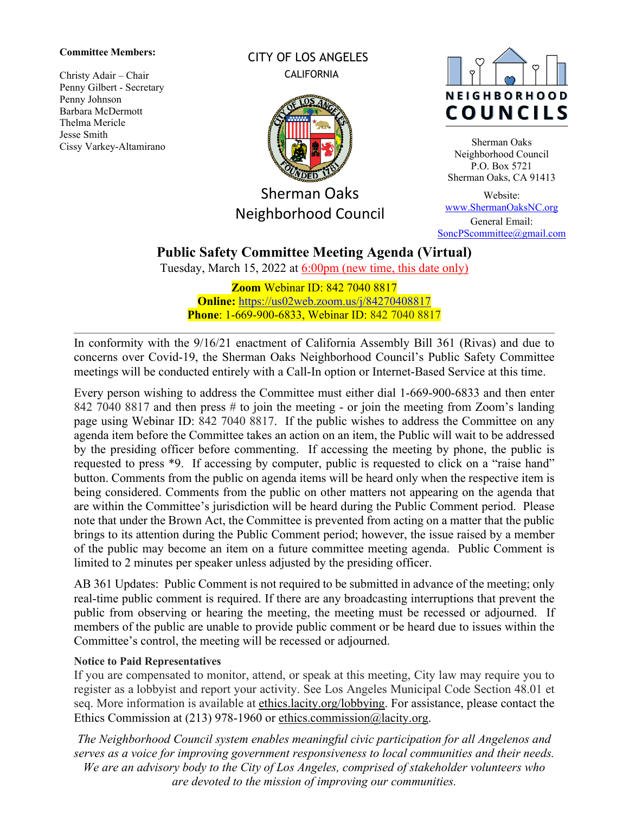#### **Committee Members:**

Christy Adair – Chair Penny Gilbert - Secretary Penny Johnson Barbara McDermott Thelma Mericle Jesse Smith Cissy Varkey-Altamirano CITY OF LOS ANGELES CALIFORNIA



Sherman Oaks Neighborhood Council



Sherman Oaks Neighborhood Council P.O. Box 5721 Sherman Oaks, CA 91413

Website: [www.ShermanOaksNC.org](http://www.shermanoaksnc.org/) General Email: [SoncPScommittee@gmail.com](mailto:SoncPScommittee@gmail.com)

# **Public Safety Committee Meeting Agenda (Virtual)**

Tuesday, March 15, 2022 at 6:00pm (new time, this date only)

**Zoom** Webinar ID: 842 7040 8817 **Online:** <https://us02web.zoom.us/j/84270408817> **Phone**: 1-669-900-6833, Webinar ID: 842 7040 8817

In conformity with the 9/16/21 enactment of California Assembly Bill 361 (Rivas) and due to concerns over Covid-19, the Sherman Oaks Neighborhood Council's Public Safety Committee meetings will be conducted entirely with a Call-In option or Internet-Based Service at this time.

Every person wishing to address the Committee must either dial 1-669-900-6833 and then enter 842 7040 8817 and then press # to join the meeting - or join the meeting from Zoom's landing page using Webinar ID: 842 7040 8817. If the public wishes to address the Committee on any agenda item before the Committee takes an action on an item, the Public will wait to be addressed by the presiding officer before commenting. If accessing the meeting by phone, the public is requested to press \*9. If accessing by computer, public is requested to click on a "raise hand" button. Comments from the public on agenda items will be heard only when the respective item is being considered. Comments from the public on other matters not appearing on the agenda that are within the Committee's jurisdiction will be heard during the Public Comment period. Please note that under the Brown Act, the Committee is prevented from acting on a matter that the public brings to its attention during the Public Comment period; however, the issue raised by a member of the public may become an item on a future committee meeting agenda. Public Comment is limited to 2 minutes per speaker unless adjusted by the presiding officer.

AB 361 Updates: Public Comment is not required to be submitted in advance of the meeting; only real-time public comment is required. If there are any broadcasting interruptions that prevent the public from observing or hearing the meeting, the meeting must be recessed or adjourned. If members of the public are unable to provide public comment or be heard due to issues within the Committee's control, the meeting will be recessed or adjourned.

## **Notice to Paid Representatives**

If you are compensated to monitor, attend, or speak at this meeting, City law may require you to register as a lobbyist and report your activity. See Los Angeles Municipal Code Section 48.01 et seq. More information is available at [ethics.lacity.org/lobbying.](http://ethics.lacity.org/lobbying) For assistance, please contact the Ethics Commission at (213) 978-1960 or [ethics.commission@lacity.org.](mailto:ethics.commission@lacity.org)

*The Neighborhood Council system enables meaningful civic participation for all Angelenos and serves as a voice for improving government responsiveness to local communities and their needs. We are an advisory body to the City of Los Angeles, comprised of stakeholder volunteers who are devoted to the mission of improving our communities.*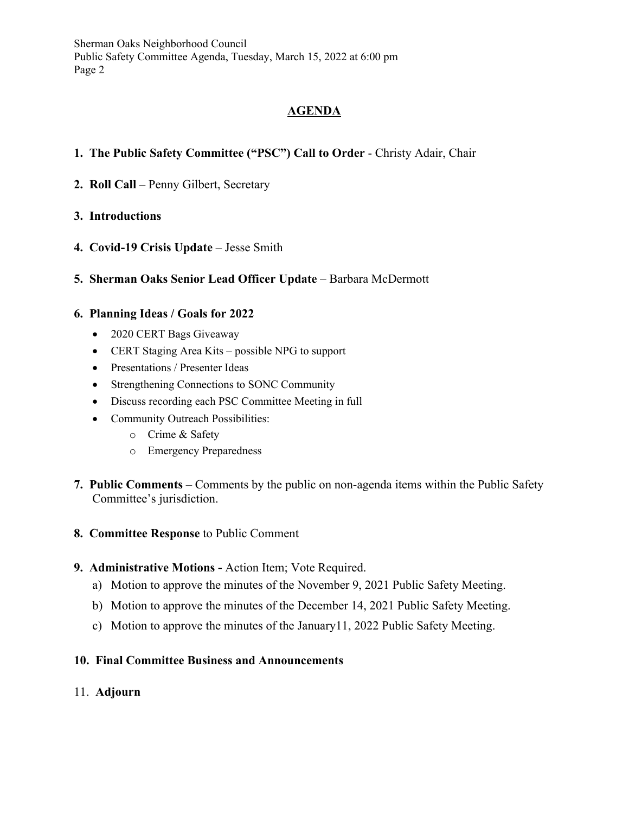Sherman Oaks Neighborhood Council Public Safety Committee Agenda, Tuesday, March 15, 2022 at 6:00 pm Page 2

# **AGENDA**

- **1. The Public Safety Committee ("PSC") Call to Order** Christy Adair, Chair
- **2. Roll Call** Penny Gilbert, Secretary

## **3. Introductions**

- **4. Covid-19 Crisis Update** Jesse Smith
- **5. Sherman Oaks Senior Lead Officer Update** Barbara McDermott

## **6. Planning Ideas / Goals for 2022**

- 2020 CERT Bags Giveaway
- CERT Staging Area Kits possible NPG to support
- Presentations / Presenter Ideas
- Strengthening Connections to SONC Community
- Discuss recording each PSC Committee Meeting in full
- Community Outreach Possibilities:
	- o Crime & Safety
	- o Emergency Preparedness
- **7. Public Comments** Comments by the public on non-agenda items within the Public Safety Committee's jurisdiction.
- **8. Committee Response** to Public Comment
- **9. Administrative Motions -** Action Item; Vote Required.
	- a) Motion to approve the minutes of the November 9, 2021 Public Safety Meeting.
	- b) Motion to approve the minutes of the December 14, 2021 Public Safety Meeting.
	- c) Motion to approve the minutes of the January11, 2022 Public Safety Meeting.

#### **10. Final Committee Business and Announcements**

11. **Adjourn**